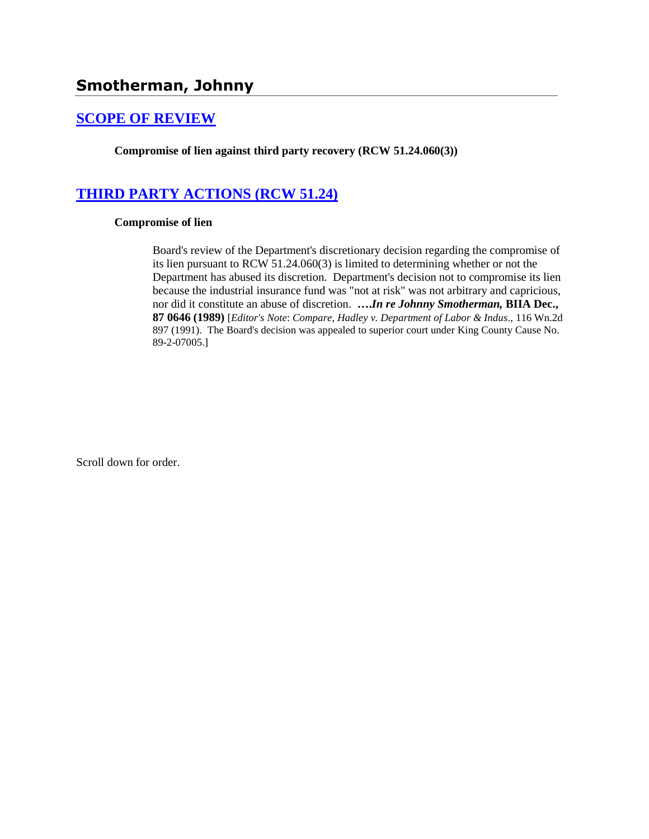# **[SCOPE OF REVIEW](http://www.biia.wa.gov/SDSubjectIndex.html#SCOPE_OF_REVIEW)**

**Compromise of lien against third party recovery (RCW 51.24.060(3))**

# **[THIRD PARTY ACTIONS \(RCW 51.24\)](http://www.biia.wa.gov/SDSubjectIndex.html#THIRD_PARTY_ACTIONS)**

### **Compromise of lien**

Board's review of the Department's discretionary decision regarding the compromise of its lien pursuant to RCW 51.24.060(3) is limited to determining whether or not the Department has abused its discretion. Department's decision not to compromise its lien because the industrial insurance fund was "not at risk" was not arbitrary and capricious, nor did it constitute an abuse of discretion. **….***In re Johnny Smotherman,* **BIIA Dec., 87 0646 (1989)** [*Editor's Note*: *Compare*, *Hadley v. Department of Labor & Indus*., 116 Wn.2d 897 (1991). The Board's decision was appealed to superior court under King County Cause No. 89-2-07005.]

Scroll down for order.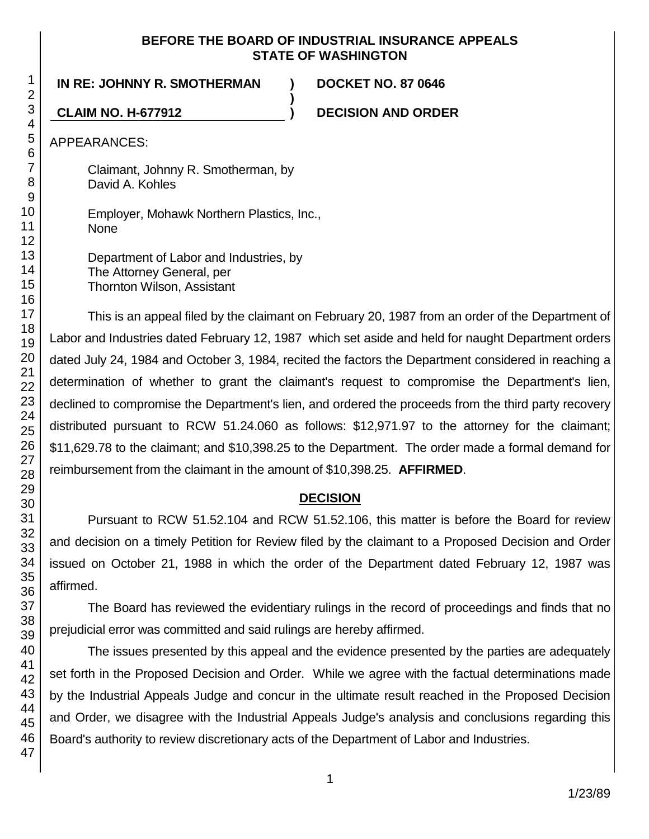### **BEFORE THE BOARD OF INDUSTRIAL INSURANCE APPEALS STATE OF WASHINGTON**

**)**

**IN RE: JOHNNY R. SMOTHERMAN ) DOCKET NO. 87 0646**

**CLAIM NO. H-677912 ) DECISION AND ORDER**

APPEARANCES:

Claimant, Johnny R. Smotherman, by David A. Kohles

Employer, Mohawk Northern Plastics, Inc., None

Department of Labor and Industries, by The Attorney General, per Thornton Wilson, Assistant

This is an appeal filed by the claimant on February 20, 1987 from an order of the Department of Labor and Industries dated February 12, 1987 which set aside and held for naught Department orders dated July 24, 1984 and October 3, 1984, recited the factors the Department considered in reaching a determination of whether to grant the claimant's request to compromise the Department's lien, declined to compromise the Department's lien, and ordered the proceeds from the third party recovery distributed pursuant to RCW 51.24.060 as follows: \$12,971.97 to the attorney for the claimant; \$11,629.78 to the claimant; and \$10,398.25 to the Department. The order made a formal demand for reimbursement from the claimant in the amount of \$10,398.25. **AFFIRMED**.

# **DECISION**

Pursuant to RCW 51.52.104 and RCW 51.52.106, this matter is before the Board for review and decision on a timely Petition for Review filed by the claimant to a Proposed Decision and Order issued on October 21, 1988 in which the order of the Department dated February 12, 1987 was affirmed.

The Board has reviewed the evidentiary rulings in the record of proceedings and finds that no prejudicial error was committed and said rulings are hereby affirmed.

The issues presented by this appeal and the evidence presented by the parties are adequately set forth in the Proposed Decision and Order. While we agree with the factual determinations made by the Industrial Appeals Judge and concur in the ultimate result reached in the Proposed Decision and Order, we disagree with the Industrial Appeals Judge's analysis and conclusions regarding this Board's authority to review discretionary acts of the Department of Labor and Industries.

1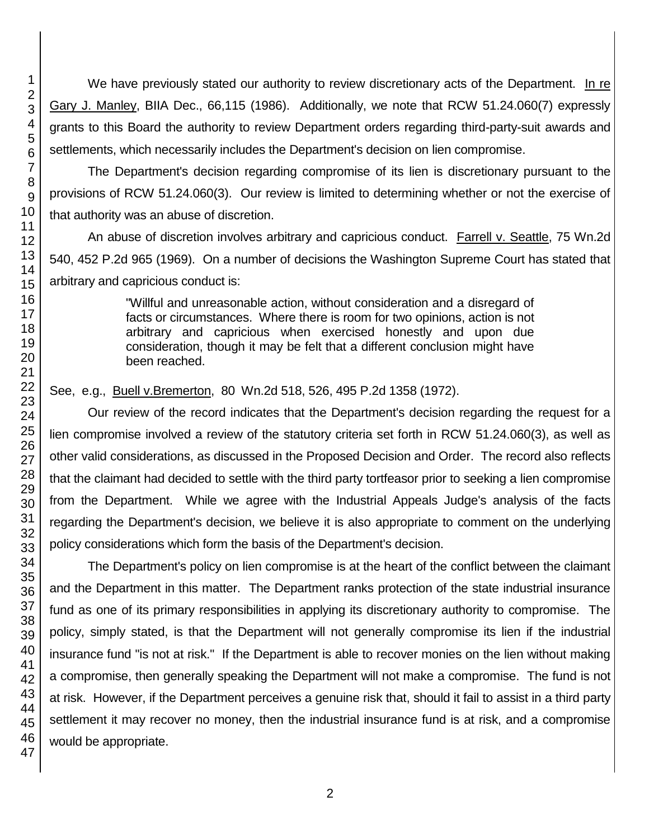We have previously stated our authority to review discretionary acts of the Department. In re Gary J. Manley, BIIA Dec., 66,115 (1986). Additionally, we note that RCW 51.24.060(7) expressly grants to this Board the authority to review Department orders regarding third-party-suit awards and settlements, which necessarily includes the Department's decision on lien compromise.

The Department's decision regarding compromise of its lien is discretionary pursuant to the provisions of RCW 51.24.060(3). Our review is limited to determining whether or not the exercise of that authority was an abuse of discretion.

An abuse of discretion involves arbitrary and capricious conduct. Farrell v. Seattle, 75 Wn.2d 540, 452 P.2d 965 (1969). On a number of decisions the Washington Supreme Court has stated that arbitrary and capricious conduct is:

> "Willful and unreasonable action, without consideration and a disregard of facts or circumstances. Where there is room for two opinions, action is not arbitrary and capricious when exercised honestly and upon due consideration, though it may be felt that a different conclusion might have been reached.

See, e.g., Buell v.Bremerton, 80 Wn.2d 518, 526, 495 P.2d 1358 (1972).

Our review of the record indicates that the Department's decision regarding the request for a lien compromise involved a review of the statutory criteria set forth in RCW 51.24.060(3), as well as other valid considerations, as discussed in the Proposed Decision and Order. The record also reflects that the claimant had decided to settle with the third party tortfeasor prior to seeking a lien compromise from the Department. While we agree with the Industrial Appeals Judge's analysis of the facts regarding the Department's decision, we believe it is also appropriate to comment on the underlying policy considerations which form the basis of the Department's decision.

The Department's policy on lien compromise is at the heart of the conflict between the claimant and the Department in this matter. The Department ranks protection of the state industrial insurance fund as one of its primary responsibilities in applying its discretionary authority to compromise. The policy, simply stated, is that the Department will not generally compromise its lien if the industrial insurance fund "is not at risk." If the Department is able to recover monies on the lien without making a compromise, then generally speaking the Department will not make a compromise. The fund is not at risk. However, if the Department perceives a genuine risk that, should it fail to assist in a third party settlement it may recover no money, then the industrial insurance fund is at risk, and a compromise would be appropriate.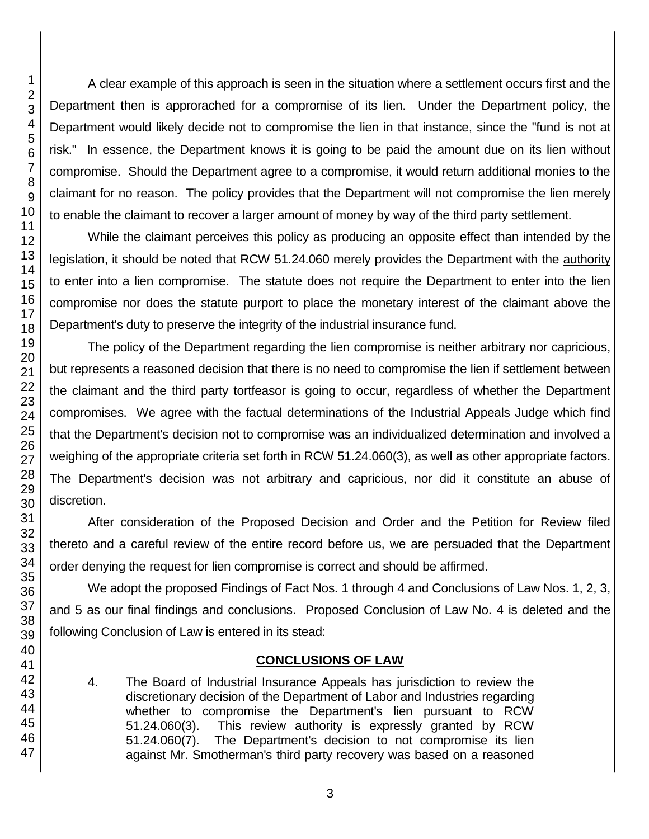A clear example of this approach is seen in the situation where a settlement occurs first and the Department then is approrached for a compromise of its lien. Under the Department policy, the Department would likely decide not to compromise the lien in that instance, since the "fund is not at risk." In essence, the Department knows it is going to be paid the amount due on its lien without compromise. Should the Department agree to a compromise, it would return additional monies to the claimant for no reason. The policy provides that the Department will not compromise the lien merely to enable the claimant to recover a larger amount of money by way of the third party settlement.

While the claimant perceives this policy as producing an opposite effect than intended by the legislation, it should be noted that RCW 51.24.060 merely provides the Department with the authority to enter into a lien compromise. The statute does not require the Department to enter into the lien compromise nor does the statute purport to place the monetary interest of the claimant above the Department's duty to preserve the integrity of the industrial insurance fund.

The policy of the Department regarding the lien compromise is neither arbitrary nor capricious, but represents a reasoned decision that there is no need to compromise the lien if settlement between the claimant and the third party tortfeasor is going to occur, regardless of whether the Department compromises. We agree with the factual determinations of the Industrial Appeals Judge which find that the Department's decision not to compromise was an individualized determination and involved a weighing of the appropriate criteria set forth in RCW 51.24.060(3), as well as other appropriate factors. The Department's decision was not arbitrary and capricious, nor did it constitute an abuse of discretion.

After consideration of the Proposed Decision and Order and the Petition for Review filed thereto and a careful review of the entire record before us, we are persuaded that the Department order denying the request for lien compromise is correct and should be affirmed.

We adopt the proposed Findings of Fact Nos. 1 through 4 and Conclusions of Law Nos. 1, 2, 3, and 5 as our final findings and conclusions. Proposed Conclusion of Law No. 4 is deleted and the following Conclusion of Law is entered in its stead:

## **CONCLUSIONS OF LAW**

4. The Board of Industrial Insurance Appeals has jurisdiction to review the discretionary decision of the Department of Labor and Industries regarding whether to compromise the Department's lien pursuant to RCW 51.24.060(3). This review authority is expressly granted by RCW 51.24.060(7). The Department's decision to not compromise its lien against Mr. Smotherman's third party recovery was based on a reasoned